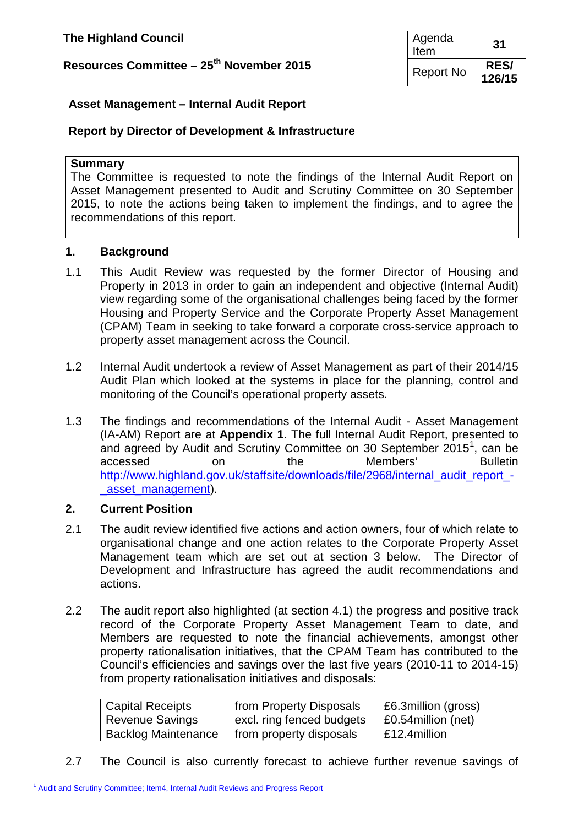## **Resources Committee – 25<sup>th</sup> November 2015**

| Agenda<br>Item   | 31                    |
|------------------|-----------------------|
| <b>Report No</b> | <b>RES/</b><br>126/15 |

### **Asset Management – Internal Audit Report**

#### **Report by Director of Development & Infrastructure**

#### **Summary**

The Committee is requested to note the findings of the Internal Audit Report on Asset Management presented to Audit and Scrutiny Committee on 30 September 2015, to note the actions being taken to implement the findings, and to agree the recommendations of this report.

#### **1. Background**

- 1.1 This Audit Review was requested by the former Director of Housing and Property in 2013 in order to gain an independent and objective (Internal Audit) view regarding some of the organisational challenges being faced by the former Housing and Property Service and the Corporate Property Asset Management (CPAM) Team in seeking to take forward a corporate cross-service approach to property asset management across the Council.
- 1.2 Internal Audit undertook a review of Asset Management as part of their 2014/15 Audit Plan which looked at the systems in place for the planning, control and monitoring of the Council's operational property assets.
- 1.3 The findings and recommendations of the Internal Audit Asset Management (IA-AM) Report are at **Appendix 1**. The full Internal Audit Report, presented to and agreed by Audit and Scrutiny Committee on 30 September 20[1](#page-0-0)5<sup>1</sup>, can be accessed on the Members' Bulletin [http://www.highland.gov.uk/staffsite/downloads/file/2968/internal\\_audit\\_report\\_](http://www.highland.gov.uk/staffsite/downloads/file/2968/internal_audit_report_-_asset_management) asset management).

#### **2. Current Position**

- 2.1 The audit review identified five actions and action owners, four of which relate to organisational change and one action relates to the Corporate Property Asset Management team which are set out at section 3 below. The Director of Development and Infrastructure has agreed the audit recommendations and actions.
- 2.2 The audit report also highlighted (at section 4.1) the progress and positive track record of the Corporate Property Asset Management Team to date, and Members are requested to note the financial achievements, amongst other property rationalisation initiatives, that the CPAM Team has contributed to the Council's efficiencies and savings over the last five years (2010-11 to 2014-15) from property rationalisation initiatives and disposals:

| <b>Capital Receipts</b>    | from Property Disposals   | £6.3million (gross) |
|----------------------------|---------------------------|---------------------|
| Revenue Savings            | excl. ring fenced budgets | £0.54 million (net) |
| <b>Backlog Maintenance</b> | from property disposals   | E12.4million        |

2.7 The Council is also currently forecast to achieve further revenue savings of

<span id="page-0-1"></span><span id="page-0-0"></span><sup>&</sup>lt;sup>1</sup> [Audit and Scrutiny Committee; Item4, Internal Audit Reviews and Progress Report](http://www.highland.gov.uk/download/meetings/id/69026/item_4_internal_audit_reviews_and_progress_report)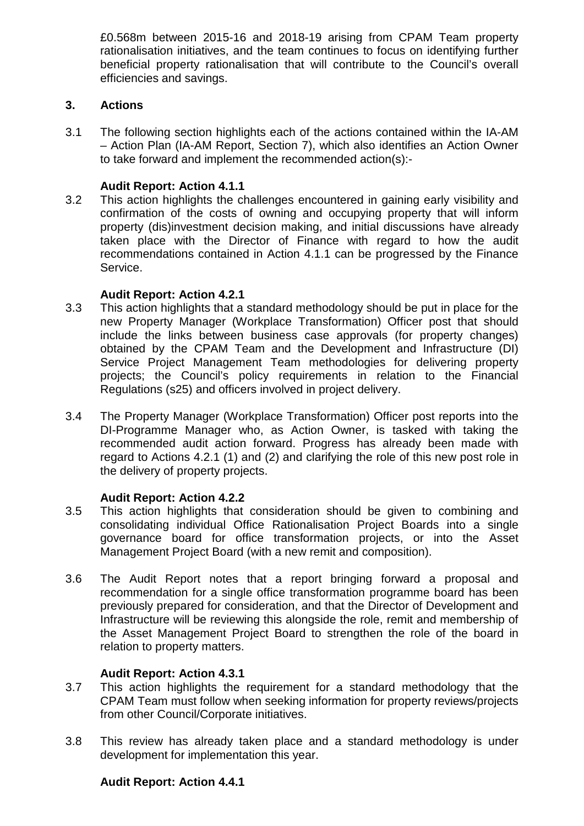£0.568m between 2015-16 and 2018-19 arising from CPAM Team property rationalisation initiatives, and the team continues to focus on identifying further beneficial property rationalisation that will contribute to the Council's overall efficiencies and savings.

#### **3. Actions**

3.1 The following section highlights each of the actions contained within the IA-AM – Action Plan (IA-AM Report, Section 7), which also identifies an Action Owner to take forward and implement the recommended action(s):-

### **Audit Report: Action 4.1.1**

3.2 This action highlights the challenges encountered in gaining early visibility and confirmation of the costs of owning and occupying property that will inform property (dis)investment decision making, and initial discussions have already taken place with the Director of Finance with regard to how the audit recommendations contained in Action 4.1.1 can be progressed by the Finance Service.

#### **Audit Report: Action 4.2.1**

- 3.3 This action highlights that a standard methodology should be put in place for the new Property Manager (Workplace Transformation) Officer post that should include the links between business case approvals (for property changes) obtained by the CPAM Team and the Development and Infrastructure (DI) Service Project Management Team methodologies for delivering property projects; the Council's policy requirements in relation to the Financial Regulations (s25) and officers involved in project delivery.
- 3.4 The Property Manager (Workplace Transformation) Officer post reports into the DI-Programme Manager who, as Action Owner, is tasked with taking the recommended audit action forward. Progress has already been made with regard to Actions 4.2.1 (1) and (2) and clarifying the role of this new post role in the delivery of property projects.

## **Audit Report: Action 4.2.2**

- 3.5 This action highlights that consideration should be given to combining and consolidating individual Office Rationalisation Project Boards into a single governance board for office transformation projects, or into the Asset Management Project Board (with a new remit and composition).
- 3.6 The Audit Report notes that a report bringing forward a proposal and recommendation for a single office transformation programme board has been previously prepared for consideration, and that the Director of Development and Infrastructure will be reviewing this alongside the role, remit and membership of the Asset Management Project Board to strengthen the role of the board in relation to property matters.

## **Audit Report: Action 4.3.1**

- 3.7 This action highlights the requirement for a standard methodology that the CPAM Team must follow when seeking information for property reviews/projects from other Council/Corporate initiatives.
- 3.8 This review has already taken place and a standard methodology is under development for implementation this year.

## **Audit Report: Action 4.4.1**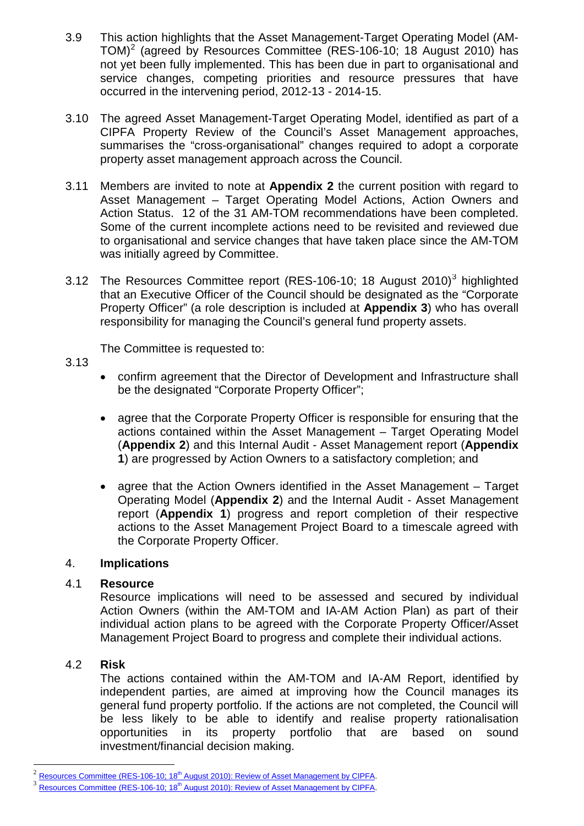- 3.9 This action highlights that the Asset Management-Target Operating Model (AM-TOM)<sup>[2](#page-0-1)</sup> (agreed by Resources Committee (RES-106-10; 18 August 2010) has not yet been fully implemented. This has been due in part to organisational and service changes, competing priorities and resource pressures that have occurred in the intervening period, 2012-13 - 2014-15.
- 3.10 The agreed Asset Management-Target Operating Model, identified as part of a CIPFA Property Review of the Council's Asset Management approaches, summarises the "cross-organisational" changes required to adopt a corporate property asset management approach across the Council.
- 3.11 Members are invited to note at **Appendix 2** the current position with regard to Asset Management – Target Operating Model Actions, Action Owners and Action Status. 12 of the 31 AM-TOM recommendations have been completed. Some of the current incomplete actions need to be revisited and reviewed due to organisational and service changes that have taken place since the AM-TOM was initially agreed by Committee.
- [3](#page-2-0).12 The Resources Committee report (RES-106-10; 18 August 2010)<sup>3</sup> highlighted that an Executive Officer of the Council should be designated as the "Corporate Property Officer" (a role description is included at **Appendix 3**) who has overall responsibility for managing the Council's general fund property assets.

The Committee is requested to:

- 3.13
- confirm agreement that the Director of Development and Infrastructure shall be the designated "Corporate Property Officer";
- agree that the Corporate Property Officer is responsible for ensuring that the actions contained within the Asset Management – Target Operating Model (**Appendix 2**) and this Internal Audit - Asset Management report (**Appendix 1**) are progressed by Action Owners to a satisfactory completion; and
- agree that the Action Owners identified in the Asset Management Target Operating Model (**Appendix 2**) and the Internal Audit - Asset Management report (**Appendix 1**) progress and report completion of their respective actions to the Asset Management Project Board to a timescale agreed with the Corporate Property Officer.

#### 4. **Implications**

#### 4.1 **Resource**

Resource implications will need to be assessed and secured by individual Action Owners (within the AM-TOM and IA-AM Action Plan) as part of their individual action plans to be agreed with the Corporate Property Officer/Asset Management Project Board to progress and complete their individual actions.

## 4.2 **Risk**

The actions contained within the AM-TOM and IA-AM Report, identified by independent parties, are aimed at improving how the Council manages its general fund property portfolio. If the actions are not completed, the Council will be less likely to be able to identify and realise property rationalisation opportunities in its property portfolio that are based on sound investment/financial decision making.

Resources Committee (RES-106-10; 18<sup>th</sup> [August 2010\): Review of Asset Management by CIPFA.](http://www.highland.gov.uk/download/meetings/id/40425/item19res10610pdf)

<span id="page-2-0"></span>Resources Committee (RES-106-10; 18<sup>th</sup> [August 2010\): Review of Asset Management by CIPFA.](http://www.highland.gov.uk/download/meetings/id/40425/item19res10610pdf)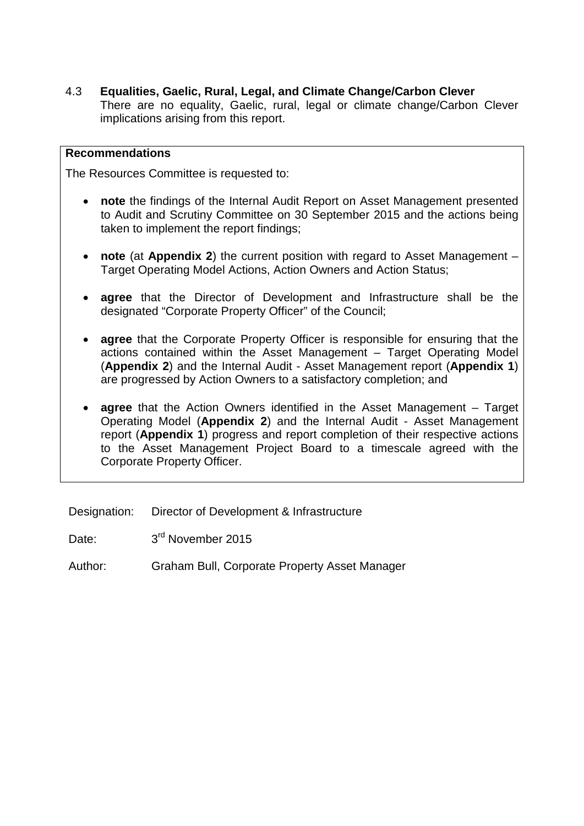4.3 **Equalities, Gaelic, Rural, Legal, and Climate Change/Carbon Clever**

There are no equality, Gaelic, rural, legal or climate change/Carbon Clever implications arising from this report.

### **Recommendations**

The Resources Committee is requested to:

- **note** the findings of the Internal Audit Report on Asset Management presented to Audit and Scrutiny Committee on 30 September 2015 and the actions being taken to implement the report findings;
- **note** (at **Appendix 2**) the current position with regard to Asset Management Target Operating Model Actions, Action Owners and Action Status;
- **agree** that the Director of Development and Infrastructure shall be the designated "Corporate Property Officer" of the Council;
- **agree** that the Corporate Property Officer is responsible for ensuring that the actions contained within the Asset Management – Target Operating Model (**Appendix 2**) and the Internal Audit - Asset Management report (**Appendix 1**) are progressed by Action Owners to a satisfactory completion; and
- **agree** that the Action Owners identified in the Asset Management Target Operating Model (**Appendix 2**) and the Internal Audit - Asset Management report (**Appendix 1**) progress and report completion of their respective actions to the Asset Management Project Board to a timescale agreed with the Corporate Property Officer.

Designation: Director of Development & Infrastructure

Date: 3<sup>rd</sup> November 2015

Author: Graham Bull, Corporate Property Asset Manager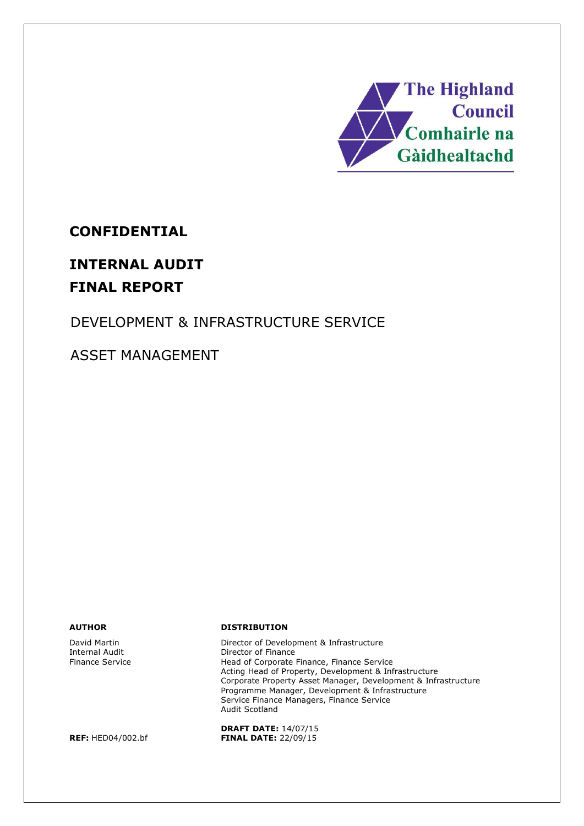

## **CONFIDENTIAL**

# **INTERNAL AUDIT FINAL REPORT**

## DEVELOPMENT & INFRASTRUCTURE SERVICE

ASSET MANAGEMENT

David Martin Internal Audit Finance Service

**AUTHOR DISTRIBUTION**

Director of Development & Infrastructure Director of Finance Head of Corporate Finance, Finance Service Acting Head of Property, Development & Infrastructure Corporate Property Asset Manager, Development & Infrastructure Programme Manager, Development & Infrastructure Service Finance Managers, Finance Service Audit Scotland

**DRAFT DATE:** 14/07/15 **REF:** HED04/002.bf **FINAL DATE:** 22/09/15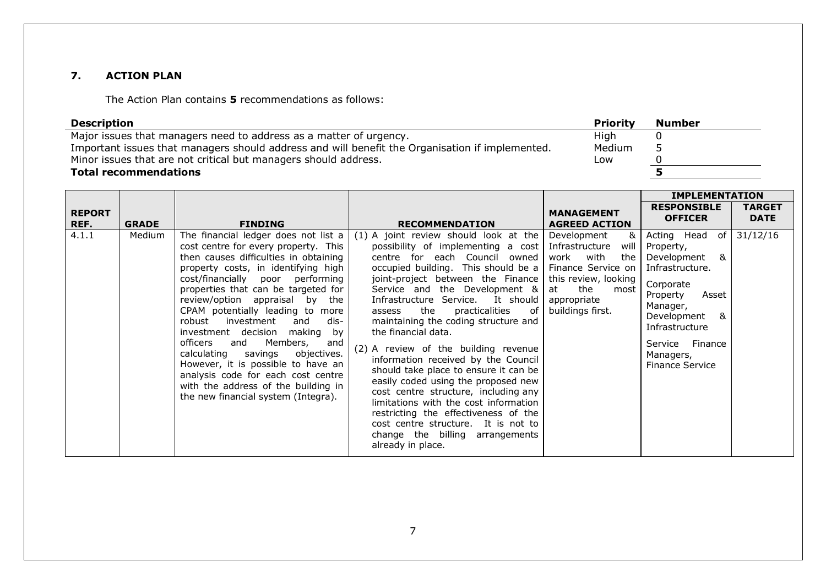#### **7. ACTION PLAN**

The Action Plan contains **5** recommendations as follows:

| Description                                                                                     | <b>Priority</b> | Number |
|-------------------------------------------------------------------------------------------------|-----------------|--------|
| Major issues that managers need to address as a matter of urgency.                              | High            |        |
| Important issues that managers should address and will benefit the Organisation if implemented. | Medium          | ے      |
| Minor issues that are not critical but managers should address.                                 | Low             |        |
| <b>Total recommendations</b>                                                                    |                 |        |

|                       |              |                                                                                                                                                                                                                                                                                                                                                                                                                                                                                                                                                                                                                             |                                                                                                                                                                                                                                                                                                                                                                                                                                                                                                                                                                                                                                                                                                                                                                   |                                                                                                                                                                         | <b>IMPLEMENTATION</b>                                                                                                                                                                                                                    |                              |
|-----------------------|--------------|-----------------------------------------------------------------------------------------------------------------------------------------------------------------------------------------------------------------------------------------------------------------------------------------------------------------------------------------------------------------------------------------------------------------------------------------------------------------------------------------------------------------------------------------------------------------------------------------------------------------------------|-------------------------------------------------------------------------------------------------------------------------------------------------------------------------------------------------------------------------------------------------------------------------------------------------------------------------------------------------------------------------------------------------------------------------------------------------------------------------------------------------------------------------------------------------------------------------------------------------------------------------------------------------------------------------------------------------------------------------------------------------------------------|-------------------------------------------------------------------------------------------------------------------------------------------------------------------------|------------------------------------------------------------------------------------------------------------------------------------------------------------------------------------------------------------------------------------------|------------------------------|
| <b>REPORT</b><br>REF. | <b>GRADE</b> | <b>FINDING</b>                                                                                                                                                                                                                                                                                                                                                                                                                                                                                                                                                                                                              | <b>RECOMMENDATION</b>                                                                                                                                                                                                                                                                                                                                                                                                                                                                                                                                                                                                                                                                                                                                             | <b>MANAGEMENT</b><br><b>AGREED ACTION</b>                                                                                                                               | <b>RESPONSIBLE</b><br><b>OFFICER</b>                                                                                                                                                                                                     | <b>TARGET</b><br><b>DATE</b> |
| 4.1.1                 | Medium       | The financial ledger does not list a<br>cost centre for every property. This<br>then causes difficulties in obtaining<br>property costs, in identifying high<br>cost/financially poor performing<br>properties that can be targeted for<br>review/option appraisal by the<br>CPAM potentially leading to more<br>dis-<br>robust<br>investment<br>and<br>investment decision making by<br>Members,<br>officers<br>and<br>and<br>calculating savings<br>objectives.<br>However, it is possible to have an<br>analysis code for each cost centre<br>with the address of the building in<br>the new financial system (Integra). | $(1)$ A joint review should look at the<br>possibility of implementing a cost<br>centre for each Council owned<br>occupied building. This should be a<br>joint-project between the Finance<br>Service and the Development &<br>Infrastructure Service. It should<br>the<br>practicalities<br>of l<br>assess<br>maintaining the coding structure and<br>the financial data.<br>(2) A review of the building revenue<br>information received by the Council<br>should take place to ensure it can be<br>easily coded using the proposed new<br>cost centre structure, including any<br>limitations with the cost information<br>restricting the effectiveness of the<br>cost centre structure. It is not to<br>change the billing arrangements<br>already in place. | Development<br>&<br>will<br>Infrastructure<br>with<br>the<br>work<br>Finance Service on<br>this review, looking<br>the<br>at<br>most<br>appropriate<br>buildings first. | Acting Head of<br>Property,<br>&<br>Development<br>Infrastructure.<br>Corporate<br>Property<br>Asset<br>Manager,<br>$\mathsf{R}_{\mathsf{I}}$<br>Development<br>Infrastructure<br>Service Finance<br>Managers,<br><b>Finance Service</b> | 31/12/16                     |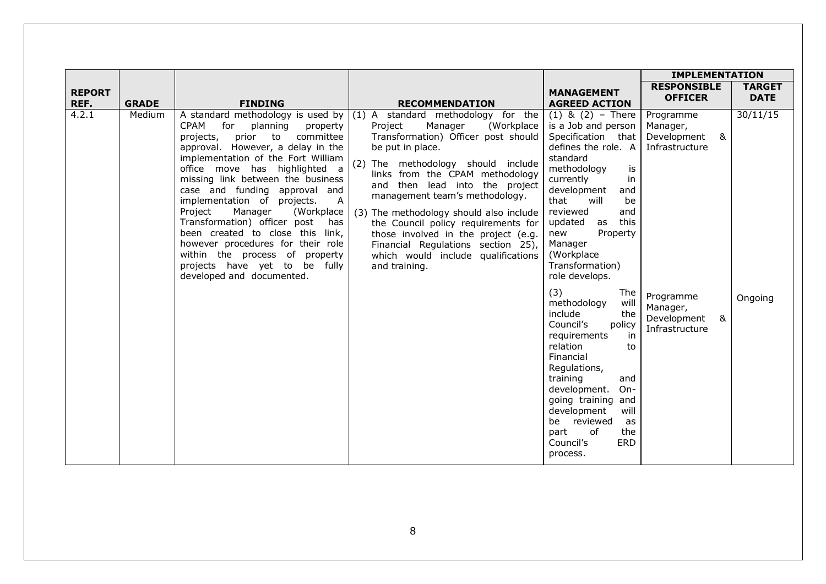|                       |              |                                                                                                                                                                                                                                                                                                                                                                                                                                                                                                                                                               |                                                                                                                                                                                                                                                                                                                                                                                                                                                                                                                                          |                                                                                                                                                                                                                                                                                                                                                                                                                                                                                                                                                                                                                                              | <b>IMPLEMENTATION</b>                                                                                                                   |                              |
|-----------------------|--------------|---------------------------------------------------------------------------------------------------------------------------------------------------------------------------------------------------------------------------------------------------------------------------------------------------------------------------------------------------------------------------------------------------------------------------------------------------------------------------------------------------------------------------------------------------------------|------------------------------------------------------------------------------------------------------------------------------------------------------------------------------------------------------------------------------------------------------------------------------------------------------------------------------------------------------------------------------------------------------------------------------------------------------------------------------------------------------------------------------------------|----------------------------------------------------------------------------------------------------------------------------------------------------------------------------------------------------------------------------------------------------------------------------------------------------------------------------------------------------------------------------------------------------------------------------------------------------------------------------------------------------------------------------------------------------------------------------------------------------------------------------------------------|-----------------------------------------------------------------------------------------------------------------------------------------|------------------------------|
| <b>REPORT</b><br>REF. | <b>GRADE</b> | <b>FINDING</b>                                                                                                                                                                                                                                                                                                                                                                                                                                                                                                                                                | <b>RECOMMENDATION</b>                                                                                                                                                                                                                                                                                                                                                                                                                                                                                                                    | <b>MANAGEMENT</b><br><b>AGREED ACTION</b>                                                                                                                                                                                                                                                                                                                                                                                                                                                                                                                                                                                                    | <b>RESPONSIBLE</b><br><b>OFFICER</b>                                                                                                    | <b>TARGET</b><br><b>DATE</b> |
| 4.2.1                 | Medium       | <b>CPAM</b><br>for<br>planning<br>property<br>committee<br>projects,<br>prior<br>to<br>approval. However, a delay in the<br>implementation of the Fort William<br>office move has highlighted a<br>missing link between the business<br>case and funding approval and<br>implementation of projects.<br>Α<br>Project<br>Manager<br>(Workplace<br>Transformation) officer post<br>has<br>been created to close this link,<br>however procedures for their role<br>within the process of property<br>projects have yet to be fully<br>developed and documented. | A standard methodology is used by $(1)$ A standard methodology for the<br>Manager<br>Project<br>(Workplace<br>Transformation) Officer post should<br>be put in place.<br>(2) The methodology should include<br>links from the CPAM methodology<br>and then lead into the project<br>management team's methodology.<br>(3) The methodology should also include<br>the Council policy requirements for<br>those involved in the project (e.g.<br>Financial Regulations section 25),<br>which would include qualifications<br>and training. | $(1)$ & $(2)$ – There<br>is a Job and person<br>Specification that<br>defines the role. A<br>standard<br>methodology<br>is<br>currently<br>in<br>development<br>and<br>that<br>will<br>be<br>reviewed<br>and<br>this<br>updated<br>as<br>Property<br>new<br>Manager<br>(Workplace<br>Transformation)<br>role develops.<br>(3)<br>The<br>methodology<br>will<br>include<br>the<br>Council's<br>policy<br>requirements<br>in<br>relation<br>to<br>Financial<br>Regulations,<br>training<br>and<br>development.<br>$On-$<br>going training and<br>development<br>will<br>be reviewed<br>as<br>of<br>part<br>the<br>ERD<br>Council's<br>process. | Programme<br>Manager,<br>8 <sub>k</sub><br>Development<br>Infrastructure<br>Programme<br>Manager,<br>&<br>Development<br>Infrastructure | 30/11/15<br>Ongoing          |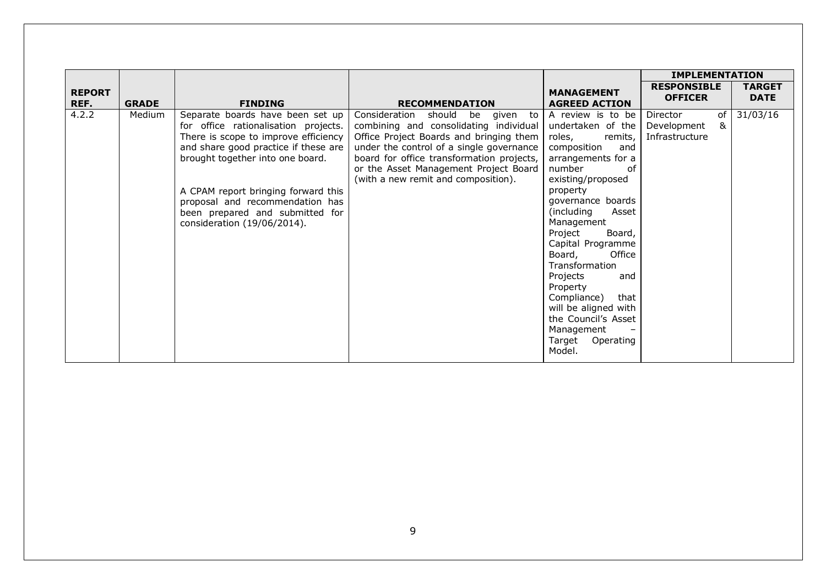|                       |              |                                                                                                                                                                                                                                                                                                                                          |                                                                                                                                                                                                                                                                                                         |                                                                                                                                                                                                                                                                                                                                                                                                                                                        | <b>IMPLEMENTATION</b>                                             |                              |
|-----------------------|--------------|------------------------------------------------------------------------------------------------------------------------------------------------------------------------------------------------------------------------------------------------------------------------------------------------------------------------------------------|---------------------------------------------------------------------------------------------------------------------------------------------------------------------------------------------------------------------------------------------------------------------------------------------------------|--------------------------------------------------------------------------------------------------------------------------------------------------------------------------------------------------------------------------------------------------------------------------------------------------------------------------------------------------------------------------------------------------------------------------------------------------------|-------------------------------------------------------------------|------------------------------|
| <b>REPORT</b><br>REF. | <b>GRADE</b> | <b>FINDING</b>                                                                                                                                                                                                                                                                                                                           | <b>RECOMMENDATION</b>                                                                                                                                                                                                                                                                                   | <b>MANAGEMENT</b><br><b>AGREED ACTION</b>                                                                                                                                                                                                                                                                                                                                                                                                              | <b>RESPONSIBLE</b><br><b>OFFICER</b>                              | <b>TARGET</b><br><b>DATE</b> |
| 4.2.2                 | Medium       | Separate boards have been set up<br>for office rationalisation projects.<br>There is scope to improve efficiency<br>and share good practice if these are<br>brought together into one board.<br>A CPAM report bringing forward this<br>proposal and recommendation has<br>been prepared and submitted for<br>consideration (19/06/2014). | Consideration<br>should<br>be<br>given to<br>combining and consolidating individual<br>Office Project Boards and bringing them<br>under the control of a single governance<br>board for office transformation projects,<br>or the Asset Management Project Board<br>(with a new remit and composition). | A review is to be<br>undertaken of the<br>remits,<br>roles,<br>composition<br>and<br>arrangements for a<br>number<br>of<br>existing/proposed<br>property<br>governance boards<br>(including<br>Asset<br>Management<br>Project<br>Board,<br>Capital Programme<br>Office<br>Board,<br>Transformation<br>Projects<br>and<br>Property<br>Compliance)<br>that<br>will be aligned with<br>the Council's Asset<br>Management<br>Target<br>Operating<br>Model. | of<br>Director<br>8 <sub>k</sub><br>Development<br>Infrastructure | 31/03/16                     |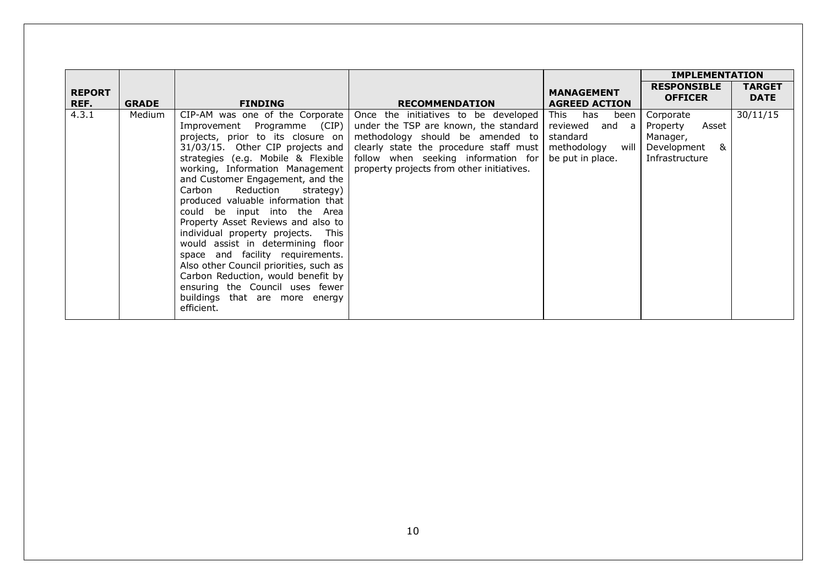|                       |              |                                                                                                                                                                                                                                                                                                                                                                                                                                                                                                                                                                                                                                                                                          |                                                                                                                                                                                                                                                 |                                                                                                | <b>IMPLEMENTATION</b>                                                            |                              |
|-----------------------|--------------|------------------------------------------------------------------------------------------------------------------------------------------------------------------------------------------------------------------------------------------------------------------------------------------------------------------------------------------------------------------------------------------------------------------------------------------------------------------------------------------------------------------------------------------------------------------------------------------------------------------------------------------------------------------------------------------|-------------------------------------------------------------------------------------------------------------------------------------------------------------------------------------------------------------------------------------------------|------------------------------------------------------------------------------------------------|----------------------------------------------------------------------------------|------------------------------|
| <b>REPORT</b><br>REF. | <b>GRADE</b> | <b>FINDING</b>                                                                                                                                                                                                                                                                                                                                                                                                                                                                                                                                                                                                                                                                           | <b>RECOMMENDATION</b>                                                                                                                                                                                                                           | <b>MANAGEMENT</b><br><b>AGREED ACTION</b>                                                      | <b>RESPONSIBLE</b><br><b>OFFICER</b>                                             | <b>TARGET</b><br><b>DATE</b> |
| 4.3.1                 | Medium       | $CIP-AM$ was one of the Corporate<br>Improvement Programme (CIP)<br>projects, prior to its closure on<br>31/03/15. Other CIP projects and<br>strategies (e.g. Mobile & Flexible<br>working, Information Management<br>and Customer Engagement, and the<br>Reduction<br>Carbon<br>strategy)<br>produced valuable information that<br>could be input into the Area<br>Property Asset Reviews and also to<br>individual property projects. This<br>would assist in determining floor<br>space and facility requirements.<br>Also other Council priorities, such as<br>Carbon Reduction, would benefit by<br>ensuring the Council uses fewer<br>buildings that are more energy<br>efficient. | Once the initiatives to be developed<br>under the TSP are known, the standard<br>methodology should be amended to<br>clearly state the procedure staff must<br>follow when seeking information for<br>property projects from other initiatives. | This has<br>been  <br>reviewed<br>and a<br>standard<br>will<br>methodology<br>be put in place. | Corporate<br>Property<br>Asset<br>Manager,<br>&<br>Development<br>Infrastructure | 30/11/15                     |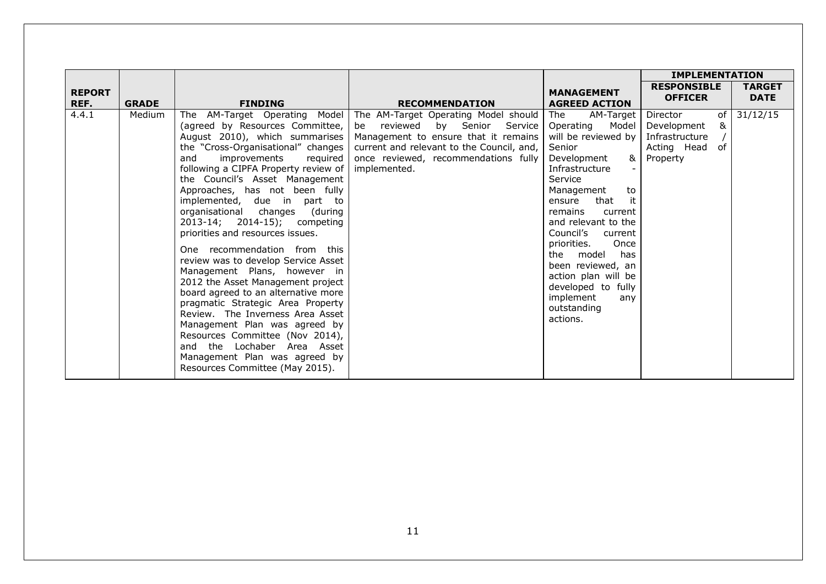|                       |              |                                                                                                                                                                                                                                                                                                                                                                                                                                                                                                                                                                                                                                                                                                                                                                                                                                                                       |                                                                                                                                                                                                                             |                                                                                                                                                                                                                                                                                                                                                                                                          | <b>IMPLEMENTATION</b>                                                                 |                              |
|-----------------------|--------------|-----------------------------------------------------------------------------------------------------------------------------------------------------------------------------------------------------------------------------------------------------------------------------------------------------------------------------------------------------------------------------------------------------------------------------------------------------------------------------------------------------------------------------------------------------------------------------------------------------------------------------------------------------------------------------------------------------------------------------------------------------------------------------------------------------------------------------------------------------------------------|-----------------------------------------------------------------------------------------------------------------------------------------------------------------------------------------------------------------------------|----------------------------------------------------------------------------------------------------------------------------------------------------------------------------------------------------------------------------------------------------------------------------------------------------------------------------------------------------------------------------------------------------------|---------------------------------------------------------------------------------------|------------------------------|
| <b>REPORT</b><br>REF. | <b>GRADE</b> | <b>FINDING</b>                                                                                                                                                                                                                                                                                                                                                                                                                                                                                                                                                                                                                                                                                                                                                                                                                                                        | <b>RECOMMENDATION</b>                                                                                                                                                                                                       | <b>MANAGEMENT</b><br><b>AGREED ACTION</b>                                                                                                                                                                                                                                                                                                                                                                | <b>RESPONSIBLE</b><br><b>OFFICER</b>                                                  | <b>TARGET</b><br><b>DATE</b> |
| 4.4.1                 | Medium       | The AM-Target Operating Model<br>(agreed by Resources Committee,<br>August 2010), which summarises<br>the "Cross-Organisational" changes<br>and<br>improvements<br>required<br>following a CIPFA Property review of<br>the Council's Asset Management<br>Approaches, has not been fully<br>implemented, due in<br>part to<br>organisational changes<br>(during<br>2013-14; 2014-15); competing<br>priorities and resources issues.<br>One recommendation from this<br>review was to develop Service Asset<br>Management Plans, however in<br>2012 the Asset Management project<br>board agreed to an alternative more<br>pragmatic Strategic Area Property<br>Review. The Inverness Area Asset<br>Management Plan was agreed by<br>Resources Committee (Nov 2014),<br>and the Lochaber Area Asset<br>Management Plan was agreed by<br>Resources Committee (May 2015). | The AM-Target Operating Model should<br>by Senior<br>reviewed<br>Service<br>be<br>Management to ensure that it remains<br>current and relevant to the Council, and,<br>once reviewed, recommendations fully<br>implemented. | AM-Target<br>The<br>Operating<br>Model<br>will be reviewed by<br>Senior<br>Development<br>8x I<br>Infrastructure<br>Service<br>Management<br>to<br>it<br>that<br>ensure<br>remains<br>current<br>and relevant to the<br>Council's<br>current<br>priorities.<br>Once<br>has<br>the model<br>been reviewed, an<br>action plan will be<br>developed to fully<br>implement<br>any<br>outstanding<br>actions. | Director<br>0f<br>&<br>Development<br>Infrastructure<br>of<br>Acting Head<br>Property | 31/12/15                     |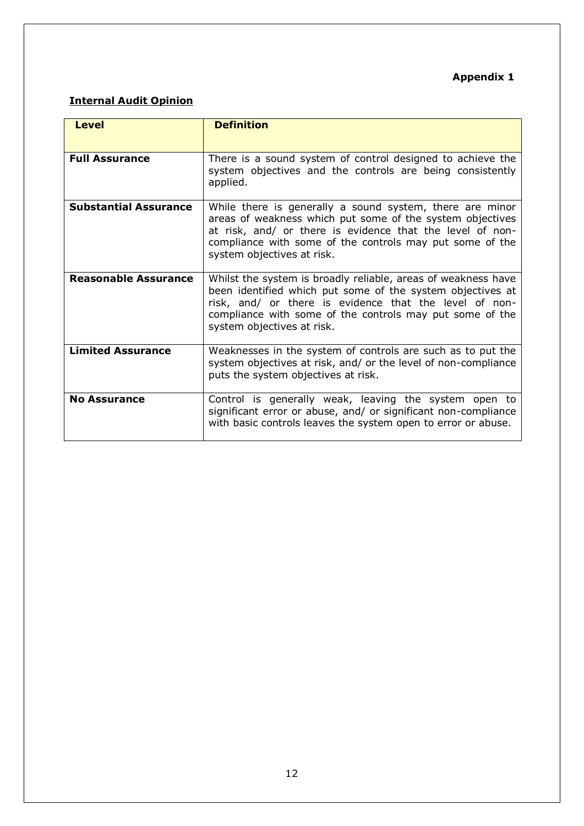## **Appendix 1**

## **Internal Audit Opinion**

| <b>Level</b>                 | <b>Definition</b>                                                                                                                                                                                                                                                               |
|------------------------------|---------------------------------------------------------------------------------------------------------------------------------------------------------------------------------------------------------------------------------------------------------------------------------|
| <b>Full Assurance</b>        | There is a sound system of control designed to achieve the<br>system objectives and the controls are being consistently<br>applied.                                                                                                                                             |
| <b>Substantial Assurance</b> | While there is generally a sound system, there are minor<br>areas of weakness which put some of the system objectives<br>at risk, and/ or there is evidence that the level of non-<br>compliance with some of the controls may put some of the<br>system objectives at risk.    |
| <b>Reasonable Assurance</b>  | Whilst the system is broadly reliable, areas of weakness have<br>been identified which put some of the system objectives at<br>risk, and/ or there is evidence that the level of non-<br>compliance with some of the controls may put some of the<br>system objectives at risk. |
| <b>Limited Assurance</b>     | Weaknesses in the system of controls are such as to put the<br>system objectives at risk, and/ or the level of non-compliance<br>puts the system objectives at risk.                                                                                                            |
| <b>No Assurance</b>          | Control is generally weak, leaving the system open to<br>significant error or abuse, and/ or significant non-compliance<br>with basic controls leaves the system open to error or abuse.                                                                                        |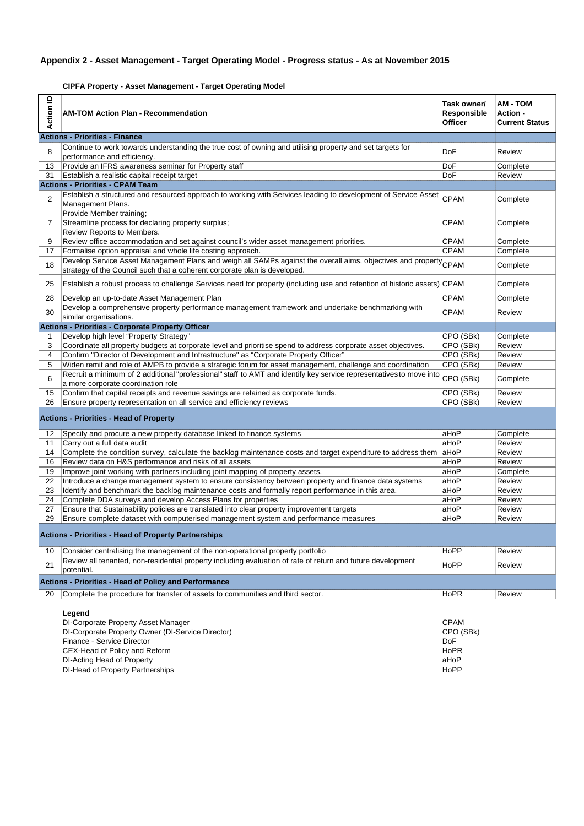#### **Appendix 2 - Asset Management - Target Operating Model - Progress status - As at November 2015**

**CIPFA Property - Asset Management - Target Operating Model**

| $\mathbf{r}$<br>Action | <b>AM-TOM Action Plan - Recommendation</b>                                                                                                                                                | Task owner/<br>Responsible<br><b>Officer</b> | <b>AM - TOM</b><br>Action -<br><b>Current Status</b> |
|------------------------|-------------------------------------------------------------------------------------------------------------------------------------------------------------------------------------------|----------------------------------------------|------------------------------------------------------|
|                        | <b>Actions - Priorities - Finance</b>                                                                                                                                                     |                                              |                                                      |
| 8                      | Continue to work towards understanding the true cost of owning and utilising property and set targets for<br>performance and efficiency.                                                  | DoF                                          | Review                                               |
| 13                     | Provide an IFRS awareness seminar for Property staff                                                                                                                                      | DoF                                          | Complete                                             |
| 31                     | Establish a realistic capital receipt target                                                                                                                                              | DoF                                          | Review                                               |
|                        | <b>Actions - Priorities - CPAM Team</b>                                                                                                                                                   |                                              |                                                      |
| $\overline{2}$         | Establish a structured and resourced approach to working with Services leading to development of Service Asset<br>Management Plans.                                                       | <b>CPAM</b>                                  | Complete                                             |
| 7                      | Provide Member training;<br>Streamline process for declaring property surplus;<br>Review Reports to Members.                                                                              | <b>CPAM</b>                                  | Complete                                             |
| 9                      | Review office accommodation and set against council's wider asset management priorities.                                                                                                  | <b>CPAM</b>                                  | Complete                                             |
| 17                     | Formalise option appraisal and whole life costing approach.                                                                                                                               | <b>CPAM</b>                                  | Complete                                             |
| 18                     | Develop Service Asset Management Plans and weigh all SAMPs against the overall aims, objectives and property<br>strategy of the Council such that a coherent corporate plan is developed. | CPAM                                         | Complete                                             |
| 25                     | Establish a robust process to challenge Services need for property (including use and retention of historic assets) CPAM                                                                  |                                              | Complete                                             |
| 28                     | Develop an up-to-date Asset Management Plan                                                                                                                                               | <b>CPAM</b>                                  | Complete                                             |
| 30                     | Develop a comprehensive property performance management framework and undertake benchmarking with<br>similar organisations.                                                               | <b>CPAM</b>                                  | Review                                               |
|                        | <b>Actions - Priorities - Corporate Property Officer</b>                                                                                                                                  |                                              |                                                      |
| 1                      | Develop high level "Property Strategy"                                                                                                                                                    | CPO (SBk)                                    | Complete                                             |
| 3                      | Coordinate all property budgets at corporate level and prioritise spend to address corporate asset objectives.                                                                            | CPO (SBk)                                    | Review                                               |
| 4                      | Confirm "Director of Development and Infrastructure" as "Corporate Property Officer"                                                                                                      | CPO (SBk)                                    | Review                                               |
| 5                      | Widen remit and role of AMPB to provide a strategic forum for asset management, challenge and coordination                                                                                | CPO (SBk)                                    | Review                                               |
| 6                      | Recruit a minimum of 2 additional "professional" staff to AMT and identify key service representatives to move into<br>a more corporate coordination role                                 | CPO (SBk)                                    | Complete                                             |
| 15                     | Confirm that capital receipts and revenue savings are retained as corporate funds.                                                                                                        | CPO (SBk)                                    | Review                                               |
| 26                     | Ensure property representation on all service and efficiency reviews                                                                                                                      | CPO (SBk)                                    | Review                                               |
|                        | <b>Actions - Priorities - Head of Property</b>                                                                                                                                            |                                              |                                                      |
| 12                     | Specify and procure a new property database linked to finance systems                                                                                                                     | aHoP                                         | Complete                                             |
| 11                     | Carry out a full data audit                                                                                                                                                               | aHoP                                         | Review                                               |
| 14                     | Complete the condition survey, calculate the backlog maintenance costs and target expenditure to address them aHoP                                                                        |                                              | Review                                               |
| 16                     | Review data on H&S performance and risks of all assets                                                                                                                                    | aHoP                                         | Review                                               |
| 19                     | Improve joint working with partners including joint mapping of property assets.                                                                                                           | aHoP                                         | Complete                                             |
| 22                     | Introduce a change management system to ensure consistency between property and finance data systems                                                                                      | aHoP                                         | Review                                               |
| 23                     | Identify and benchmark the backlog maintenance costs and formally report performance in this area.                                                                                        | aHoP                                         | Review                                               |
| 24                     | Complete DDA surveys and develop Access Plans for properties                                                                                                                              | aHoP                                         | Review                                               |
| 27                     | Ensure that Sustainability policies are translated into clear property improvement targets                                                                                                | aHoP                                         | Review                                               |
| 29                     | Ensure complete dataset with computerised management system and performance measures<br>Actions - Priorities - Head of Property Partnerships                                              | aHoP                                         | Review                                               |
| 10                     | Consider centralising the management of the non-operational property portfolio                                                                                                            | HoPP                                         | Review                                               |
|                        | Review all tenanted, non-residential property including evaluation of rate of return and future development                                                                               |                                              |                                                      |
| 21                     | potential.                                                                                                                                                                                | HoPP                                         | Review                                               |
|                        | <b>Actions - Priorities - Head of Policy and Performance</b>                                                                                                                              |                                              |                                                      |
| 20                     | Complete the procedure for transfer of assets to communities and third sector.                                                                                                            | HoPR                                         | Review                                               |
|                        | Legend<br>DI-Corporate Property Asset Manager<br>DI-Corporate Property Owner (DI-Service Director)<br>Finance - Service Director<br>CEX-Head of Policy and Reform                         | <b>CPAM</b><br>CPO (SBk)<br>DoF<br>HoPR      |                                                      |

DI-Acting Head of Property aHoP

DI-Head of Property Partnerships Hope and the control of the control of the control of the control of the control of the control of the control of the control of the control of the control of the control of the control of